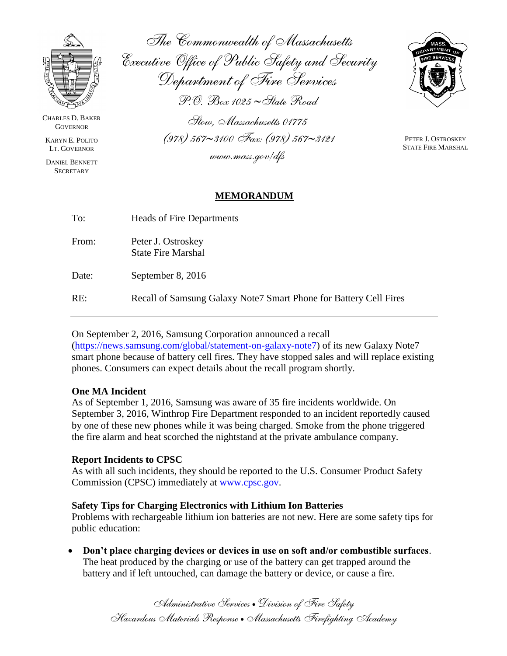

CHARLES D. BAKER **GOVERNOR** 

KARYN E. POLITO LT. GOVERNOR

DANIEL BENNETT **SECRETARY** 

*The Commonwealth of Massachusetts Executive Office of Public Safety and Security Department of Fire Services P.O. Box 1025 State Road*

*Stow, Massachusetts 01775 (978) 5673100 Fax: (978) 5673121 www.mass.gov/dfs*



PETER J. OSTROSKEY STATE FIRE MARSHAL

### **MEMORANDUM**

| To:   | Heads of Fire Departments                                          |
|-------|--------------------------------------------------------------------|
| From: | Peter J. Ostroskey<br><b>State Fire Marshal</b>                    |
| Date: | September 8, 2016                                                  |
| RE:   | Recall of Samsung Galaxy Note 7 Smart Phone for Battery Cell Fires |

# On September 2, 2016, Samsung Corporation announced a recall

[\(https://news.samsung.com/global/statement-on-galaxy-note7\)](https://news.samsung.com/global/statement-on-galaxy-note7) of its new Galaxy Note7 smart phone because of battery cell fires. They have stopped sales and will replace existing phones. Consumers can expect details about the recall program shortly.

### **One MA Incident**

As of September 1, 2016, Samsung was aware of 35 fire incidents worldwide. On September 3, 2016, Winthrop Fire Department responded to an incident reportedly caused by one of these new phones while it was being charged. Smoke from the phone triggered the fire alarm and heat scorched the nightstand at the private ambulance company.

### **Report Incidents to CPSC**

As with all such incidents, they should be reported to the U.S. Consumer Product Safety Commission (CPSC) immediately at [www.cpsc.gov.](http://www.cpsc.gov/)

## **Safety Tips for Charging Electronics with Lithium Ion Batteries**

Problems with rechargeable lithium ion batteries are not new. Here are some safety tips for public education:

 **Don't place charging devices or devices in use on soft and/or combustible surfaces**. The heat produced by the charging or use of the battery can get trapped around the battery and if left untouched, can damage the battery or device, or cause a fire.

> *Administrative Services Division of Fire Safety Hazardous Materials Response Massachusetts Firefighting Academy*